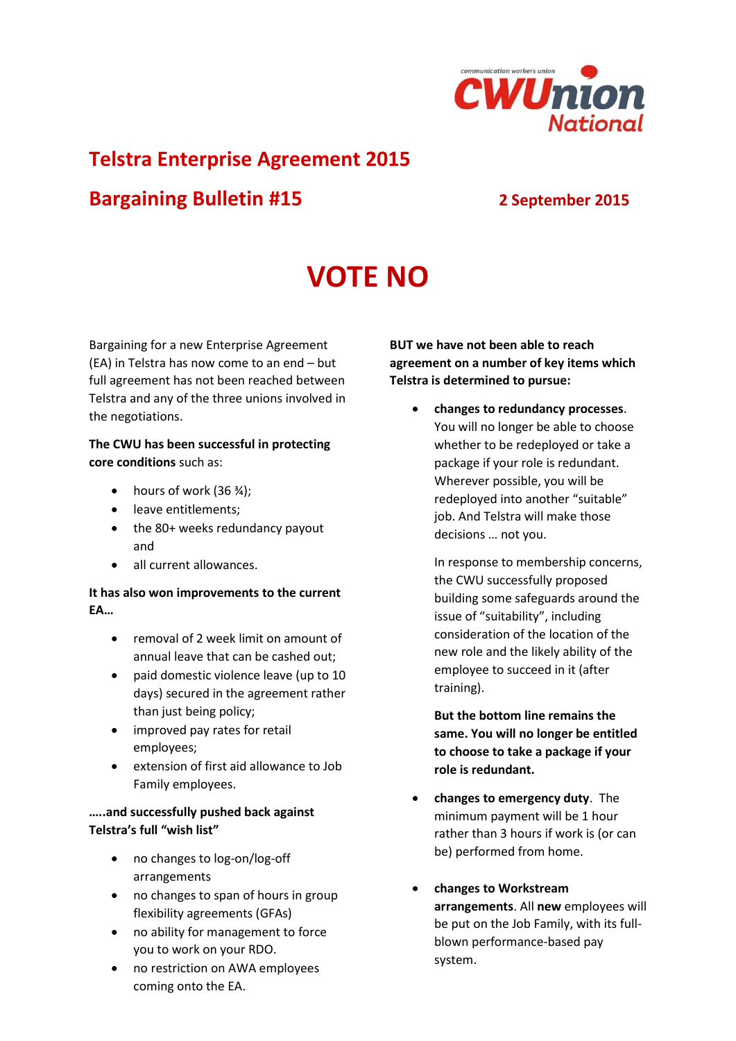

## **Telstra Enterprise Agreement 2015**

# **Bargaining Bulletin #15 2 September 2015**

# **VOTE NO**

Bargaining for a new Enterprise Agreement (EA) in Telstra has now come to an end – but full agreement has not been reached between Telstra and any of the three unions involved in the negotiations.

#### **The CWU has been successful in protecting core conditions** such as:

- hours of work  $(36 \frac{3}{4})$ ;
- leave entitlements;
- the 80+ weeks redundancy payout and
- all current allowances.

#### **It has also won improvements to the current EA…**

- removal of 2 week limit on amount of annual leave that can be cashed out;
- paid domestic violence leave (up to 10 days) secured in the agreement rather than just being policy;
- improved pay rates for retail employees;
- extension of first aid allowance to Job Family employees.

#### **…..and successfully pushed back against Telstra's full "wish list"**

- no changes to log-on/log-off arrangements
- no changes to span of hours in group flexibility agreements (GFAs)
- no ability for management to force you to work on your RDO.
- no restriction on AWA employees coming onto the EA.

**BUT we have not been able to reach agreement on a number of key items which Telstra is determined to pursue:**

 **changes to redundancy processes**. You will no longer be able to choose whether to be redeployed or take a package if your role is redundant. Wherever possible, you will be redeployed into another "suitable" job. And Telstra will make those decisions … not you.

In response to membership concerns, the CWU successfully proposed building some safeguards around the issue of "suitability", including consideration of the location of the new role and the likely ability of the employee to succeed in it (after training).

**But the bottom line remains the same. You will no longer be entitled to choose to take a package if your role is redundant.**

- **changes to emergency duty**. The minimum payment will be 1 hour rather than 3 hours if work is (or can be) performed from home.
- **changes to Workstream arrangements**. All **new** employees will be put on the Job Family, with its fullblown performance-based pay system.